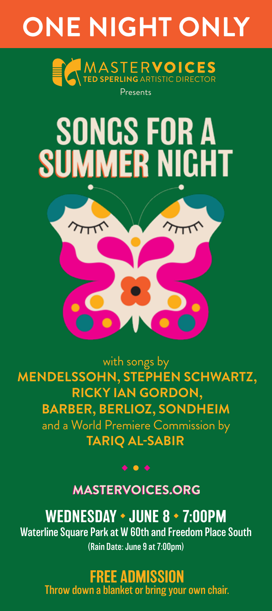## **ONE NIGHT ONLY**



# **SONGS FOR A SUMMER NIGHT**



with songs by **MENDELSSOHN, STEPHEN SCHWARTZ, RICKY IAN GORDON, BARBER, BERLIOZ, SONDHEIM** and a World Premiere Commission by **TARIQ AL-SABIR**

**MASTERVOICES.ORG MASTERVOICES.ORG**

 $\bullet\bullet\bullet$ 

WEDNESDAY • JUNE 8 • 7:00PM Waterline Square Park at W 60th and Freedom Place South (Rain Date: June 9 at 7:00pm)

> FREE ADMISSION Throw down a blanket or bring your own chair.